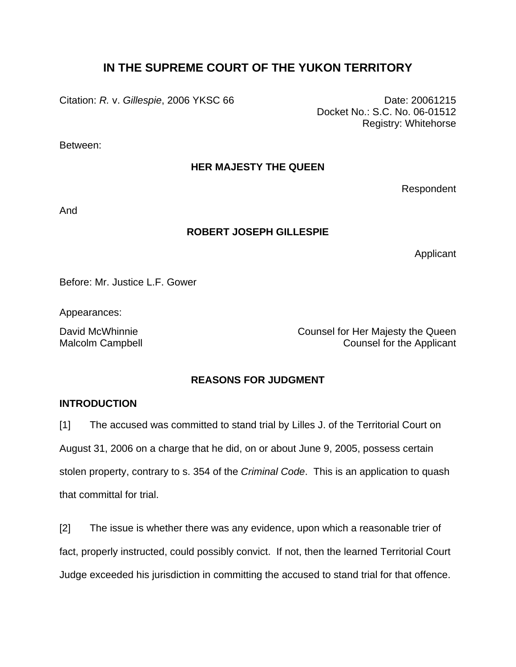# **IN THE SUPREME COURT OF THE YUKON TERRITORY**

Citation: *R.* v. *Gillespie*, 2006 YKSC 66 Date: 20061215

Docket No.: S.C. No. 06-01512 Registry: Whitehorse

Between:

#### **HER MAJESTY THE QUEEN**

Respondent

And

#### **ROBERT JOSEPH GILLESPIE**

Applicant

Before: Mr. Justice L.F. Gower

Appearances:

David McWhinnie **Counsel for Her Majesty the Queen** Malcolm Campbell **Counsel for the Applicant** 

### **REASONS FOR JUDGMENT**

### **INTRODUCTION**

[1] The accused was committed to stand trial by Lilles J. of the Territorial Court on August 31, 2006 on a charge that he did, on or about June 9, 2005, possess certain stolen property, contrary to s. 354 of the *Criminal Code*. This is an application to quash that committal for trial.

[2] The issue is whether there was any evidence, upon which a reasonable trier of fact, properly instructed, could possibly convict. If not, then the learned Territorial Court Judge exceeded his jurisdiction in committing the accused to stand trial for that offence.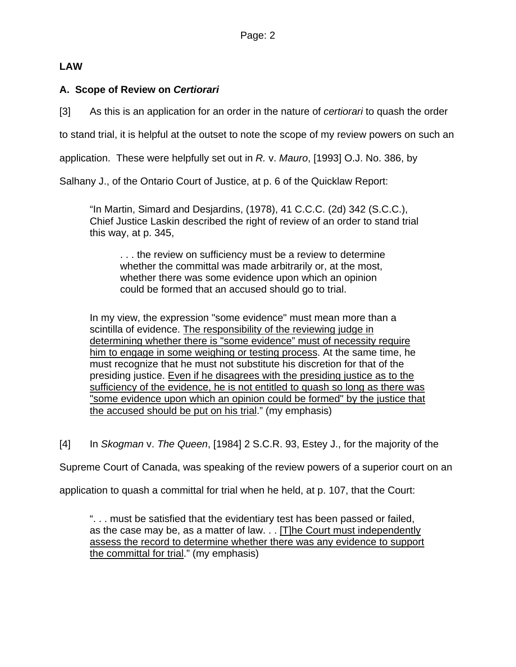# **LAW**

# **A. Scope of Review on** *Certiorari*

[3] As this is an application for an order in the nature of *certiorari* to quash the order

to stand trial, it is helpful at the outset to note the scope of my review powers on such an

application. These were helpfully set out in *R.* v. *Mauro*, [1993] O.J. No. 386, by

Salhany J., of the Ontario Court of Justice, at p. 6 of the Quicklaw Report:

"In Martin, Simard and Desjardins, (1978), 41 C.C.C. (2d) 342 (S.C.C.), Chief Justice Laskin described the right of review of an order to stand trial this way, at p. 345,

. . . the review on sufficiency must be a review to determine whether the committal was made arbitrarily or, at the most, whether there was some evidence upon which an opinion could be formed that an accused should go to trial.

In my view, the expression "some evidence" must mean more than a scintilla of evidence. The responsibility of the reviewing judge in determining whether there is "some evidence" must of necessity require him to engage in some weighing or testing process. At the same time, he must recognize that he must not substitute his discretion for that of the presiding justice. Even if he disagrees with the presiding justice as to the sufficiency of the evidence, he is not entitled to quash so long as there was "some evidence upon which an opinion could be formed" by the justice that the accused should be put on his trial." (my emphasis)

[4] In *Skogman* v. *The Queen*, [1984] 2 S.C.R. 93, Estey J., for the majority of the

Supreme Court of Canada, was speaking of the review powers of a superior court on an

application to quash a committal for trial when he held, at p. 107, that the Court:

". . . must be satisfied that the evidentiary test has been passed or failed, as the case may be, as a matter of law. . . [T]he Court must independently assess the record to determine whether there was any evidence to support the committal for trial." (my emphasis)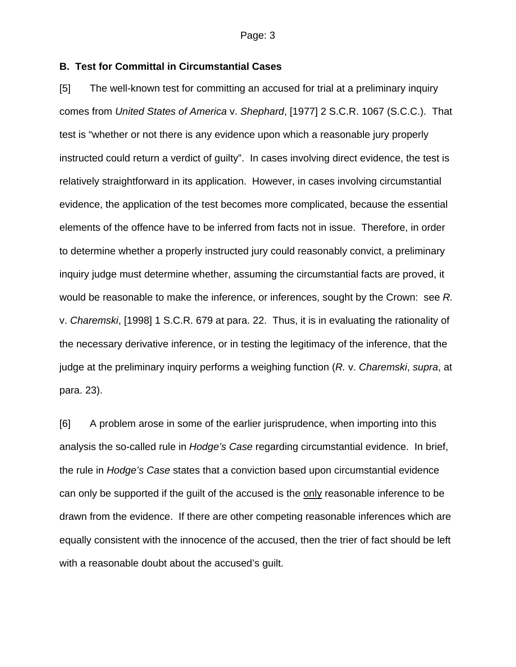#### **B. Test for Committal in Circumstantial Cases**

[5] The well-known test for committing an accused for trial at a preliminary inquiry comes from *United States of America* v. *Shephard*, [1977] 2 S.C.R. 1067 (S.C.C.). That test is "whether or not there is any evidence upon which a reasonable jury properly instructed could return a verdict of guilty". In cases involving direct evidence, the test is relatively straightforward in its application. However, in cases involving circumstantial evidence, the application of the test becomes more complicated, because the essential elements of the offence have to be inferred from facts not in issue. Therefore, in order to determine whether a properly instructed jury could reasonably convict, a preliminary inquiry judge must determine whether, assuming the circumstantial facts are proved, it would be reasonable to make the inference, or inferences, sought by the Crown: see *R.* v. *Charemski*, [1998] 1 S.C.R. 679 at para. 22. Thus, it is in evaluating the rationality of the necessary derivative inference, or in testing the legitimacy of the inference, that the judge at the preliminary inquiry performs a weighing function (*R.* v. *Charemski*, *supra*, at para. 23).

[6] A problem arose in some of the earlier jurisprudence, when importing into this analysis the so-called rule in *Hodge's Case* regarding circumstantial evidence. In brief, the rule in *Hodge's Case* states that a conviction based upon circumstantial evidence can only be supported if the guilt of the accused is the only reasonable inference to be drawn from the evidence. If there are other competing reasonable inferences which are equally consistent with the innocence of the accused, then the trier of fact should be left with a reasonable doubt about the accused's guilt.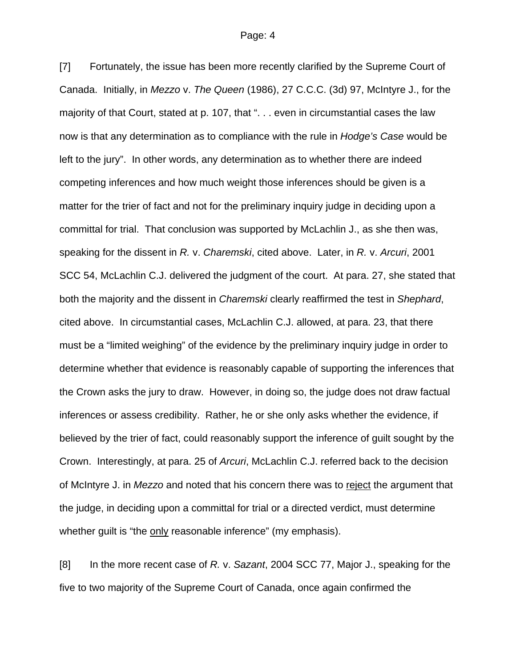[7] Fortunately, the issue has been more recently clarified by the Supreme Court of Canada. Initially, in *Mezzo* v. *The Queen* (1986), 27 C.C.C. (3d) 97, McIntyre J., for the majority of that Court, stated at p. 107, that ". . . even in circumstantial cases the law now is that any determination as to compliance with the rule in *Hodge's Case* would be left to the jury". In other words, any determination as to whether there are indeed competing inferences and how much weight those inferences should be given is a matter for the trier of fact and not for the preliminary inquiry judge in deciding upon a committal for trial. That conclusion was supported by McLachlin J., as she then was, speaking for the dissent in *R.* v. *Charemski*, cited above. Later, in *R.* v. *Arcuri*, 2001 SCC 54, McLachlin C.J. delivered the judgment of the court. At para. 27, she stated that both the majority and the dissent in *Charemski* clearly reaffirmed the test in *Shephard*, cited above. In circumstantial cases, McLachlin C.J. allowed, at para. 23, that there must be a "limited weighing" of the evidence by the preliminary inquiry judge in order to determine whether that evidence is reasonably capable of supporting the inferences that the Crown asks the jury to draw. However, in doing so, the judge does not draw factual inferences or assess credibility. Rather, he or she only asks whether the evidence, if believed by the trier of fact, could reasonably support the inference of guilt sought by the Crown. Interestingly, at para. 25 of *Arcuri*, McLachlin C.J. referred back to the decision of McIntyre J. in *Mezzo* and noted that his concern there was to reject the argument that the judge, in deciding upon a committal for trial or a directed verdict, must determine whether guilt is "the only reasonable inference" (my emphasis).

[8] In the more recent case of *R.* v. *Sazant*, 2004 SCC 77, Major J., speaking for the five to two majority of the Supreme Court of Canada, once again confirmed the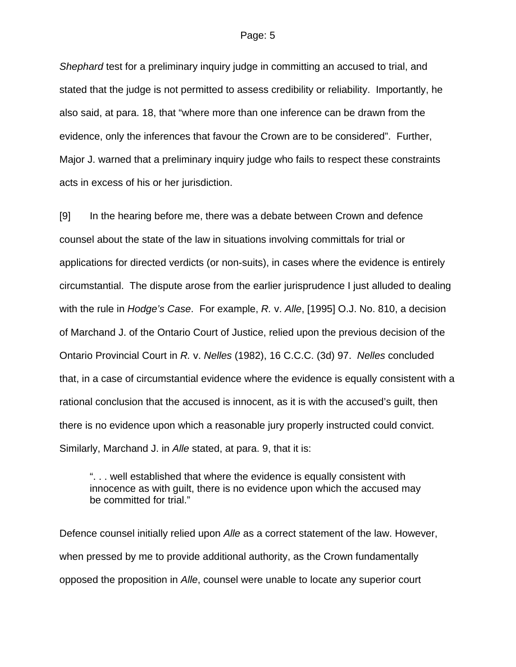*Shephard* test for a preliminary inquiry judge in committing an accused to trial, and stated that the judge is not permitted to assess credibility or reliability. Importantly, he also said, at para. 18, that "where more than one inference can be drawn from the evidence, only the inferences that favour the Crown are to be considered". Further, Major J. warned that a preliminary inquiry judge who fails to respect these constraints acts in excess of his or her jurisdiction.

[9] In the hearing before me, there was a debate between Crown and defence counsel about the state of the law in situations involving committals for trial or applications for directed verdicts (or non-suits), in cases where the evidence is entirely circumstantial. The dispute arose from the earlier jurisprudence I just alluded to dealing with the rule in *Hodge's Case*. For example, *R.* v. *Alle*, [1995] O.J. No. 810, a decision of Marchand J. of the Ontario Court of Justice, relied upon the previous decision of the Ontario Provincial Court in *R.* v. *Nelles* (1982), 16 C.C.C. (3d) 97. *Nelles* concluded that, in a case of circumstantial evidence where the evidence is equally consistent with a rational conclusion that the accused is innocent, as it is with the accused's guilt, then there is no evidence upon which a reasonable jury properly instructed could convict. Similarly, Marchand J. in *Alle* stated, at para. 9, that it is:

". . . well established that where the evidence is equally consistent with innocence as with guilt, there is no evidence upon which the accused may be committed for trial."

Defence counsel initially relied upon *Alle* as a correct statement of the law. However, when pressed by me to provide additional authority, as the Crown fundamentally opposed the proposition in *Alle*, counsel were unable to locate any superior court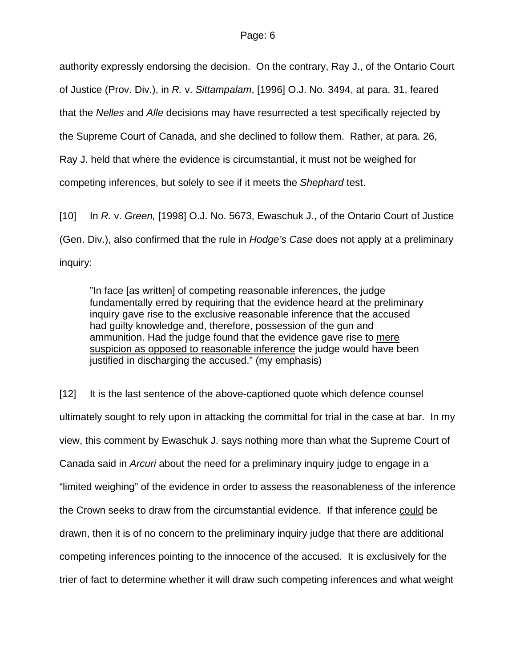authority expressly endorsing the decision. On the contrary, Ray J., of the Ontario Court of Justice (Prov. Div.), in *R.* v. *Sittampalam*, [1996] O.J. No. 3494, at para. 31, feared that the *Nelles* and *Alle* decisions may have resurrected a test specifically rejected by the Supreme Court of Canada, and she declined to follow them. Rather, at para. 26, Ray J. held that where the evidence is circumstantial, it must not be weighed for competing inferences, but solely to see if it meets the *Shephard* test.

[10] In *R.* v. *Green,* [1998] O.J. No. 5673, Ewaschuk J., of the Ontario Court of Justice (Gen. Div.), also confirmed that the rule in *Hodge's Case* does not apply at a preliminary inquiry:

"In face [as written] of competing reasonable inferences, the judge fundamentally erred by requiring that the evidence heard at the preliminary inquiry gave rise to the exclusive reasonable inference that the accused had guilty knowledge and, therefore, possession of the gun and ammunition. Had the judge found that the evidence gave rise to mere suspicion as opposed to reasonable inference the judge would have been justified in discharging the accused." (my emphasis)

[12] It is the last sentence of the above-captioned quote which defence counsel ultimately sought to rely upon in attacking the committal for trial in the case at bar. In my view, this comment by Ewaschuk J. says nothing more than what the Supreme Court of Canada said in *Arcuri* about the need for a preliminary inquiry judge to engage in a "limited weighing" of the evidence in order to assess the reasonableness of the inference the Crown seeks to draw from the circumstantial evidence. If that inference could be drawn, then it is of no concern to the preliminary inquiry judge that there are additional competing inferences pointing to the innocence of the accused. It is exclusively for the trier of fact to determine whether it will draw such competing inferences and what weight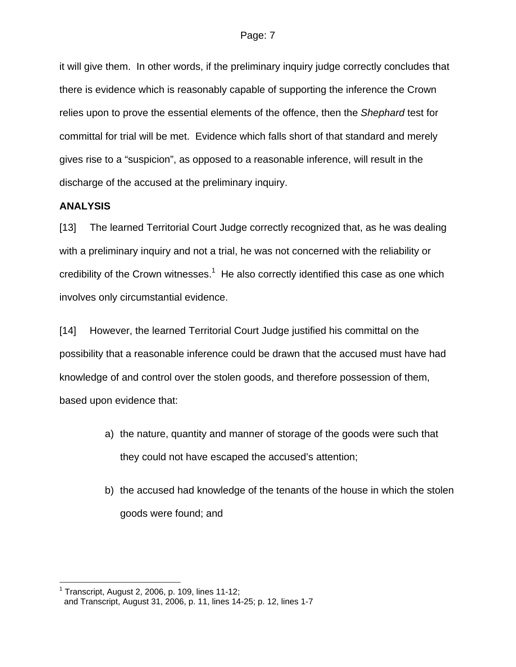it will give them. In other words, if the preliminary inquiry judge correctly concludes that there is evidence which is reasonably capable of supporting the inference the Crown relies upon to prove the essential elements of the offence, then the *Shephard* test for committal for trial will be met. Evidence which falls short of that standard and merely gives rise to a "suspicion", as opposed to a reasonable inference, will result in the discharge of the accused at the preliminary inquiry.

### **ANALYSIS**

l

[13] The learned Territorial Court Judge correctly recognized that, as he was dealing with a preliminary inquiry and not a trial, he was not concerned with the reliability or credibility of the Crown witnesses.<sup>1</sup> He also correctly identified this case as one which involves only circumstantial evidence.

[14] However, the learned Territorial Court Judge justified his committal on the possibility that a reasonable inference could be drawn that the accused must have had knowledge of and control over the stolen goods, and therefore possession of them, based upon evidence that:

- a) the nature, quantity and manner of storage of the goods were such that they could not have escaped the accused's attention;
- b) the accused had knowledge of the tenants of the house in which the stolen goods were found; and

<sup>&</sup>lt;sup>1</sup> Transcript, August 2, 2006, p. 109, lines 11-12; and Transcript, August 31, 2006, p. 11, lines 14-25; p. 12, lines 1-7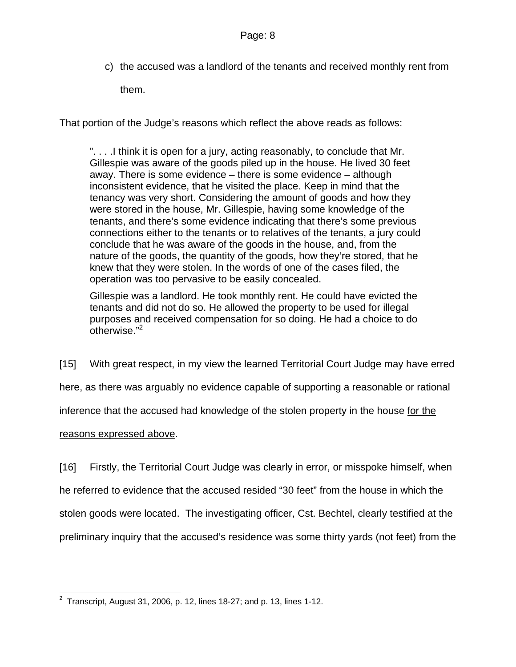c) the accused was a landlord of the tenants and received monthly rent from

them.

That portion of the Judge's reasons which reflect the above reads as follows:

". . . .I think it is open for a jury, acting reasonably, to conclude that Mr. Gillespie was aware of the goods piled up in the house. He lived 30 feet away. There is some evidence – there is some evidence – although inconsistent evidence, that he visited the place. Keep in mind that the tenancy was very short. Considering the amount of goods and how they were stored in the house, Mr. Gillespie, having some knowledge of the tenants, and there's some evidence indicating that there's some previous connections either to the tenants or to relatives of the tenants, a jury could conclude that he was aware of the goods in the house, and, from the nature of the goods, the quantity of the goods, how they're stored, that he knew that they were stolen. In the words of one of the cases filed, the operation was too pervasive to be easily concealed.

Gillespie was a landlord. He took monthly rent. He could have evicted the tenants and did not do so. He allowed the property to be used for illegal purposes and received compensation for so doing. He had a choice to do otherwise."<sup>2</sup>

[15] With great respect, in my view the learned Territorial Court Judge may have erred

here, as there was arguably no evidence capable of supporting a reasonable or rational

inference that the accused had knowledge of the stolen property in the house for the

### reasons expressed above.

[16] Firstly, the Territorial Court Judge was clearly in error, or misspoke himself, when he referred to evidence that the accused resided "30 feet" from the house in which the stolen goods were located. The investigating officer, Cst. Bechtel, clearly testified at the preliminary inquiry that the accused's residence was some thirty yards (not feet) from the

<sup>————————————————————&</sup>lt;br><sup>2</sup> Transcript, August 31, 2006, p. 12, lines 18-27; and p. 13, lines 1-12.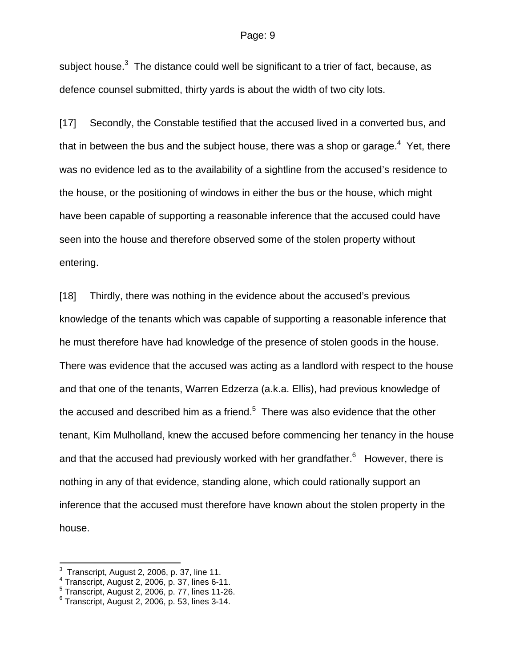subject house. $^3$  The distance could well be significant to a trier of fact, because, as defence counsel submitted, thirty yards is about the width of two city lots.

[17] Secondly, the Constable testified that the accused lived in a converted bus, and that in between the bus and the subject house, there was a shop or garage. $4$  Yet, there was no evidence led as to the availability of a sightline from the accused's residence to the house, or the positioning of windows in either the bus or the house, which might have been capable of supporting a reasonable inference that the accused could have seen into the house and therefore observed some of the stolen property without entering.

[18] Thirdly, there was nothing in the evidence about the accused's previous knowledge of the tenants which was capable of supporting a reasonable inference that he must therefore have had knowledge of the presence of stolen goods in the house. There was evidence that the accused was acting as a landlord with respect to the house and that one of the tenants, Warren Edzerza (a.k.a. Ellis), had previous knowledge of the accused and described him as a friend.<sup>5</sup> There was also evidence that the other tenant, Kim Mulholland, knew the accused before commencing her tenancy in the house and that the accused had previously worked with her grandfather. $^6$  However, there is nothing in any of that evidence, standing alone, which could rationally support an inference that the accused must therefore have known about the stolen property in the house.

 3 Transcript, August 2, 2006, p. 37, line 11.

 $4$  Transcript, August 2, 2006, p. 37, lines 6-11.

 $5$  Transcript, August 2, 2006, p. 77, lines 11-26.

 $6$  Transcript, August 2, 2006, p. 53, lines 3-14.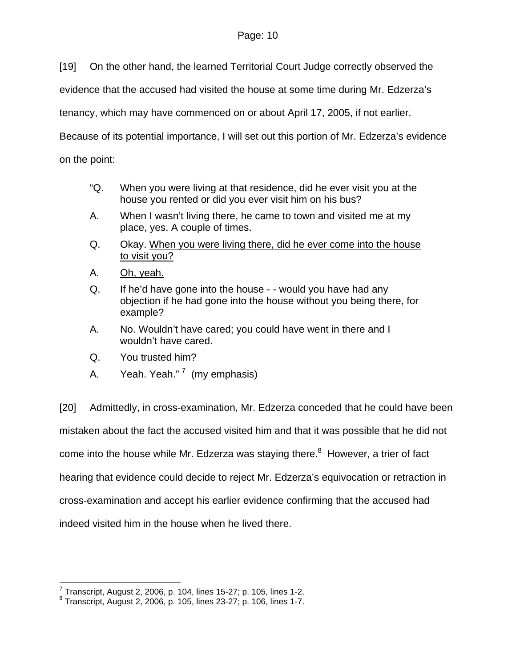[19] On the other hand, the learned Territorial Court Judge correctly observed the

evidence that the accused had visited the house at some time during Mr. Edzerza's

tenancy, which may have commenced on or about April 17, 2005, if not earlier.

Because of its potential importance, I will set out this portion of Mr. Edzerza's evidence

on the point:

- "Q. When you were living at that residence, did he ever visit you at the house you rented or did you ever visit him on his bus?
- A. When I wasn't living there, he came to town and visited me at my place, yes. A couple of times.
- Q. Okay. When you were living there, did he ever come into the house to visit you?
- A. Oh, yeah.
- Q. If he'd have gone into the house - would you have had any objection if he had gone into the house without you being there, for example?
- A. No. Wouldn't have cared; you could have went in there and I wouldn't have cared.
- Q. You trusted him?
- A. Yeah. Yeah."<sup>7</sup> (my emphasis)

[20] Admittedly, in cross-examination, Mr. Edzerza conceded that he could have been mistaken about the fact the accused visited him and that it was possible that he did not come into the house while Mr. Edzerza was staying there. $8$  However, a trier of fact hearing that evidence could decide to reject Mr. Edzerza's equivocation or retraction in cross-examination and accept his earlier evidence confirming that the accused had indeed visited him in the house when he lived there.

<sup>&</sup>lt;sup>7</sup><br><sup>7</sup> Transcript, August 2, 2006, p. 104, lines 15-27; p. 105, lines 1-2.<br><sup>8</sup> Transcript, August 2, 2006, p. 105, lines 23, 27; p. 106, lines 1.7.

Transcript, August 2, 2006, p. 105, lines 23-27; p. 106, lines 1-7.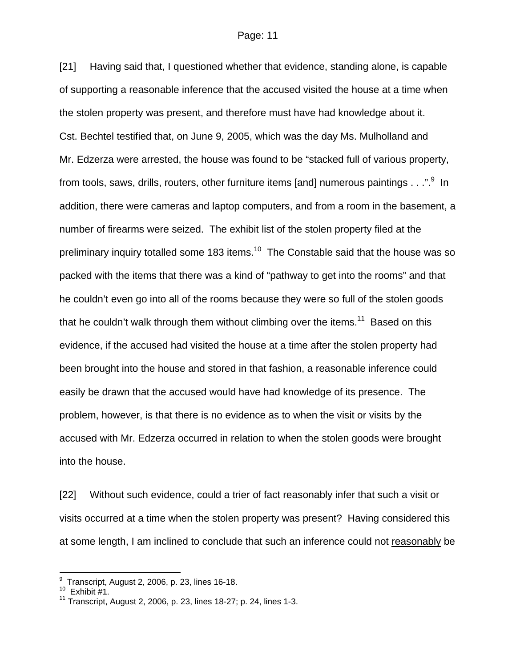[21] Having said that, I questioned whether that evidence, standing alone, is capable of supporting a reasonable inference that the accused visited the house at a time when the stolen property was present, and therefore must have had knowledge about it. Cst. Bechtel testified that, on June 9, 2005, which was the day Ms. Mulholland and Mr. Edzerza were arrested, the house was found to be "stacked full of various property, from tools, saws, drills, routers, other furniture items [and] numerous paintings . . .".<sup>9</sup> In addition, there were cameras and laptop computers, and from a room in the basement, a number of firearms were seized. The exhibit list of the stolen property filed at the preliminary inquiry totalled some 183 items.<sup>10</sup> The Constable said that the house was so packed with the items that there was a kind of "pathway to get into the rooms" and that he couldn't even go into all of the rooms because they were so full of the stolen goods that he couldn't walk through them without climbing over the items.<sup>11</sup> Based on this evidence, if the accused had visited the house at a time after the stolen property had been brought into the house and stored in that fashion, a reasonable inference could easily be drawn that the accused would have had knowledge of its presence. The problem, however, is that there is no evidence as to when the visit or visits by the accused with Mr. Edzerza occurred in relation to when the stolen goods were brought into the house.

[22] Without such evidence, could a trier of fact reasonably infer that such a visit or visits occurred at a time when the stolen property was present? Having considered this at some length, I am inclined to conclude that such an inference could not reasonably be

 9 Transcript, August 2, 2006, p. 23, lines 16-18.

 $10$  Exhibit #1.

<sup>&</sup>lt;sup>11</sup> Transcript, August 2, 2006, p. 23, lines 18-27; p. 24, lines 1-3.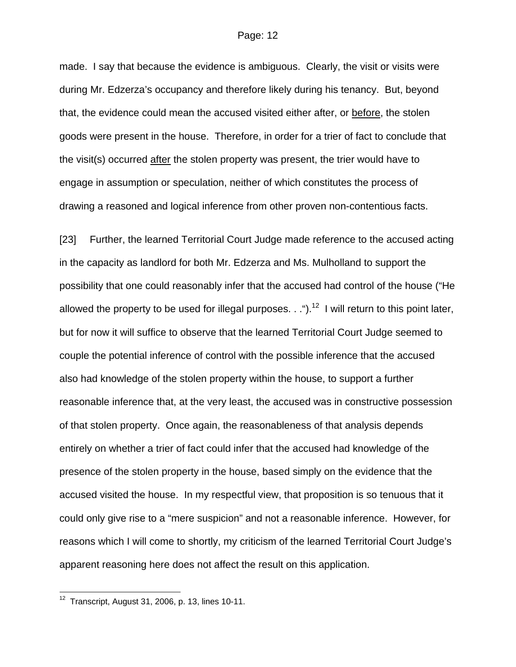made. I say that because the evidence is ambiguous. Clearly, the visit or visits were during Mr. Edzerza's occupancy and therefore likely during his tenancy. But, beyond that, the evidence could mean the accused visited either after, or before, the stolen goods were present in the house. Therefore, in order for a trier of fact to conclude that the visit(s) occurred after the stolen property was present, the trier would have to engage in assumption or speculation, neither of which constitutes the process of drawing a reasoned and logical inference from other proven non-contentious facts.

[23] Further, the learned Territorial Court Judge made reference to the accused acting in the capacity as landlord for both Mr. Edzerza and Ms. Mulholland to support the possibility that one could reasonably infer that the accused had control of the house ("He allowed the property to be used for illegal purposes.  $\ldots$ ").<sup>12</sup> I will return to this point later, but for now it will suffice to observe that the learned Territorial Court Judge seemed to couple the potential inference of control with the possible inference that the accused also had knowledge of the stolen property within the house, to support a further reasonable inference that, at the very least, the accused was in constructive possession of that stolen property. Once again, the reasonableness of that analysis depends entirely on whether a trier of fact could infer that the accused had knowledge of the presence of the stolen property in the house, based simply on the evidence that the accused visited the house. In my respectful view, that proposition is so tenuous that it could only give rise to a "mere suspicion" and not a reasonable inference. However, for reasons which I will come to shortly, my criticism of the learned Territorial Court Judge's apparent reasoning here does not affect the result on this application.

 $12$  Transcript, August 31, 2006, p. 13, lines 10-11.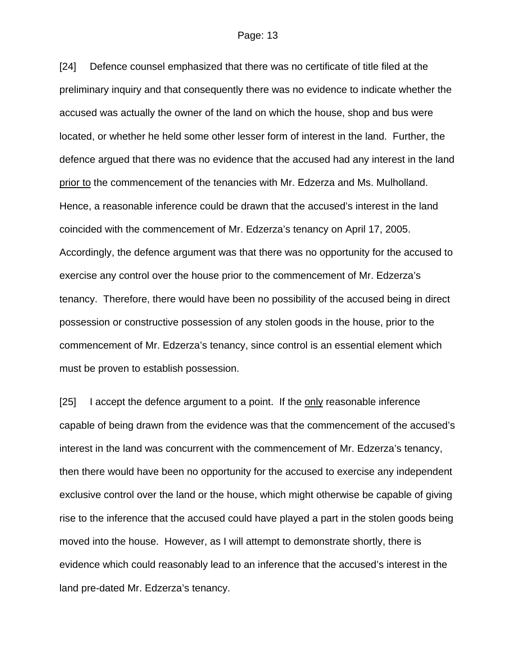[24] Defence counsel emphasized that there was no certificate of title filed at the preliminary inquiry and that consequently there was no evidence to indicate whether the accused was actually the owner of the land on which the house, shop and bus were located, or whether he held some other lesser form of interest in the land. Further, the defence argued that there was no evidence that the accused had any interest in the land prior to the commencement of the tenancies with Mr. Edzerza and Ms. Mulholland. Hence, a reasonable inference could be drawn that the accused's interest in the land coincided with the commencement of Mr. Edzerza's tenancy on April 17, 2005. Accordingly, the defence argument was that there was no opportunity for the accused to exercise any control over the house prior to the commencement of Mr. Edzerza's tenancy. Therefore, there would have been no possibility of the accused being in direct possession or constructive possession of any stolen goods in the house, prior to the commencement of Mr. Edzerza's tenancy, since control is an essential element which must be proven to establish possession.

[25] I accept the defence argument to a point. If the only reasonable inference capable of being drawn from the evidence was that the commencement of the accused's interest in the land was concurrent with the commencement of Mr. Edzerza's tenancy, then there would have been no opportunity for the accused to exercise any independent exclusive control over the land or the house, which might otherwise be capable of giving rise to the inference that the accused could have played a part in the stolen goods being moved into the house. However, as I will attempt to demonstrate shortly, there is evidence which could reasonably lead to an inference that the accused's interest in the land pre-dated Mr. Edzerza's tenancy.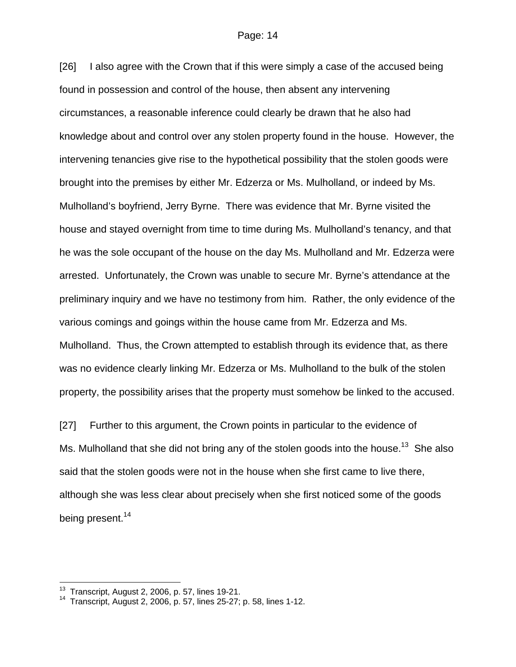[26] I also agree with the Crown that if this were simply a case of the accused being found in possession and control of the house, then absent any intervening circumstances, a reasonable inference could clearly be drawn that he also had knowledge about and control over any stolen property found in the house. However, the intervening tenancies give rise to the hypothetical possibility that the stolen goods were brought into the premises by either Mr. Edzerza or Ms. Mulholland, or indeed by Ms. Mulholland's boyfriend, Jerry Byrne. There was evidence that Mr. Byrne visited the house and stayed overnight from time to time during Ms. Mulholland's tenancy, and that he was the sole occupant of the house on the day Ms. Mulholland and Mr. Edzerza were arrested. Unfortunately, the Crown was unable to secure Mr. Byrne's attendance at the preliminary inquiry and we have no testimony from him. Rather, the only evidence of the various comings and goings within the house came from Mr. Edzerza and Ms. Mulholland. Thus, the Crown attempted to establish through its evidence that, as there was no evidence clearly linking Mr. Edzerza or Ms. Mulholland to the bulk of the stolen property, the possibility arises that the property must somehow be linked to the accused.

[27] Further to this argument, the Crown points in particular to the evidence of Ms. Mulholland that she did not bring any of the stolen goods into the house.<sup>13</sup> She also said that the stolen goods were not in the house when she first came to live there, although she was less clear about precisely when she first noticed some of the goods being present.<sup>14</sup>

l

<sup>&</sup>lt;sup>13</sup> Transcript, August 2, 2006, p. 57, lines 19-21.<br><sup>14</sup> Transcript, August 2, 2006, p. 57, lines 25-27; p. 58, lines 1-12.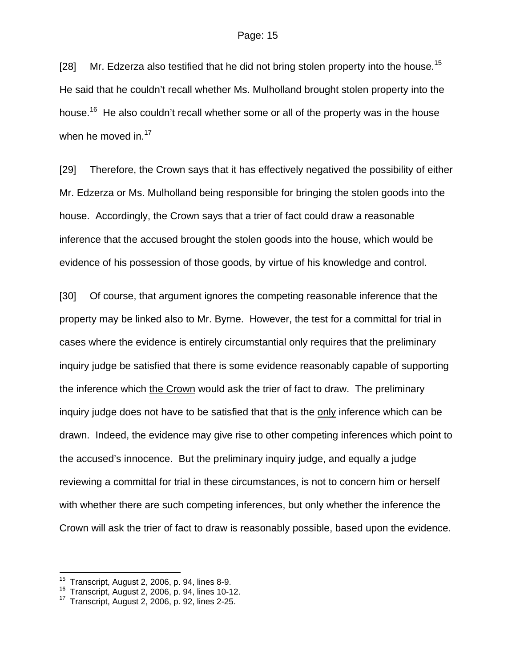[28] Mr. Edzerza also testified that he did not bring stolen property into the house.<sup>15</sup> He said that he couldn't recall whether Ms. Mulholland brought stolen property into the house.<sup>16</sup> He also couldn't recall whether some or all of the property was in the house when he moved in. $17$ 

[29] Therefore, the Crown says that it has effectively negatived the possibility of either Mr. Edzerza or Ms. Mulholland being responsible for bringing the stolen goods into the house. Accordingly, the Crown says that a trier of fact could draw a reasonable inference that the accused brought the stolen goods into the house, which would be evidence of his possession of those goods, by virtue of his knowledge and control.

[30] Of course, that argument ignores the competing reasonable inference that the property may be linked also to Mr. Byrne. However, the test for a committal for trial in cases where the evidence is entirely circumstantial only requires that the preliminary inquiry judge be satisfied that there is some evidence reasonably capable of supporting the inference which the Crown would ask the trier of fact to draw. The preliminary inquiry judge does not have to be satisfied that that is the only inference which can be drawn. Indeed, the evidence may give rise to other competing inferences which point to the accused's innocence. But the preliminary inquiry judge, and equally a judge reviewing a committal for trial in these circumstances, is not to concern him or herself with whether there are such competing inferences, but only whether the inference the Crown will ask the trier of fact to draw is reasonably possible, based upon the evidence.

<sup>&</sup>lt;sup>15</sup> Transcript, August 2, 2006, p. 94, lines 8-9.<br><sup>16</sup> Transcript, August 2, 2006, p. 94, lines 10-12.<br><sup>17</sup> Transcript, August 2, 2006, p. 92, lines 2-25.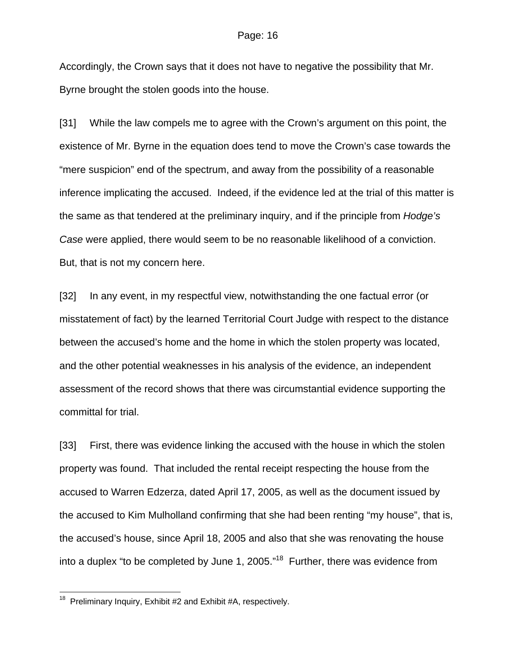Accordingly, the Crown says that it does not have to negative the possibility that Mr. Byrne brought the stolen goods into the house.

[31] While the law compels me to agree with the Crown's argument on this point, the existence of Mr. Byrne in the equation does tend to move the Crown's case towards the "mere suspicion" end of the spectrum, and away from the possibility of a reasonable inference implicating the accused. Indeed, if the evidence led at the trial of this matter is the same as that tendered at the preliminary inquiry, and if the principle from *Hodge's Case* were applied, there would seem to be no reasonable likelihood of a conviction. But, that is not my concern here.

[32] In any event, in my respectful view, notwithstanding the one factual error (or misstatement of fact) by the learned Territorial Court Judge with respect to the distance between the accused's home and the home in which the stolen property was located, and the other potential weaknesses in his analysis of the evidence, an independent assessment of the record shows that there was circumstantial evidence supporting the committal for trial.

[33] First, there was evidence linking the accused with the house in which the stolen property was found. That included the rental receipt respecting the house from the accused to Warren Edzerza, dated April 17, 2005, as well as the document issued by the accused to Kim Mulholland confirming that she had been renting "my house", that is, the accused's house, since April 18, 2005 and also that she was renovating the house into a duplex "to be completed by June 1, 2005."<sup>18</sup> Further, there was evidence from

Preliminary Inquiry, Exhibit #2 and Exhibit #A, respectively.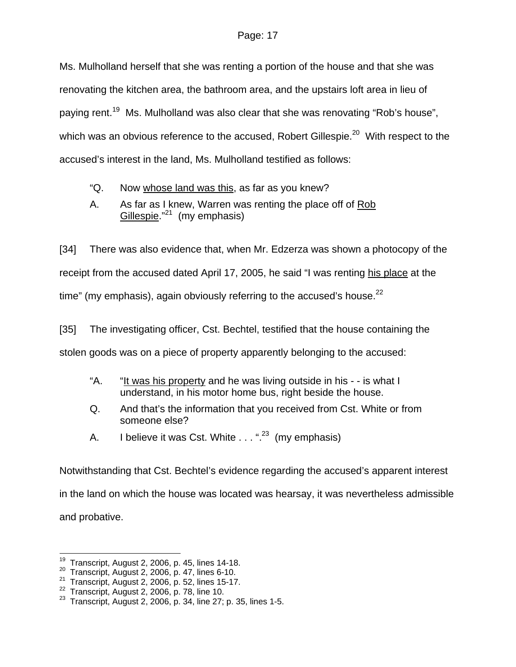Ms. Mulholland herself that she was renting a portion of the house and that she was renovating the kitchen area, the bathroom area, and the upstairs loft area in lieu of paying rent.<sup>19</sup> Ms. Mulholland was also clear that she was renovating "Rob's house", which was an obvious reference to the accused, Robert Gillespie.<sup>20</sup> With respect to the accused's interest in the land, Ms. Mulholland testified as follows:

- "Q. Now whose land was this, as far as you knew?
- A. As far as I knew, Warren was renting the place off of Rob Gillespie. $"^{21}$  (my emphasis)

[34] There was also evidence that, when Mr. Edzerza was shown a photocopy of the receipt from the accused dated April 17, 2005, he said "I was renting his place at the time" (my emphasis), again obviously referring to the accused's house. $22$ 

[35] The investigating officer, Cst. Bechtel, testified that the house containing the stolen goods was on a piece of property apparently belonging to the accused:

- "A. "It was his property and he was living outside in his - is what I understand, in his motor home bus, right beside the house.
- Q. And that's the information that you received from Cst. White or from someone else?
- A. I believe it was Cst. White  $\dots$  ".<sup>23</sup> (my emphasis)

Notwithstanding that Cst. Bechtel's evidence regarding the accused's apparent interest in the land on which the house was located was hearsay, it was nevertheless admissible and probative.

 $19$  Transcript, August 2, 2006, p. 45, lines 14-18.

<sup>&</sup>lt;sup>20</sup> Transcript, August 2, 2006, p. 47, lines 6-10.<br>
<sup>21</sup> Transcript, August 2, 2006, p. 52, lines 15-17.<br>
<sup>22</sup> Transcript, August 2, 2006, p. 78, line 10.<br>
<sup>23</sup> Transcript, August 2, 2006, p. 34, line 27; p. 35, lines 1-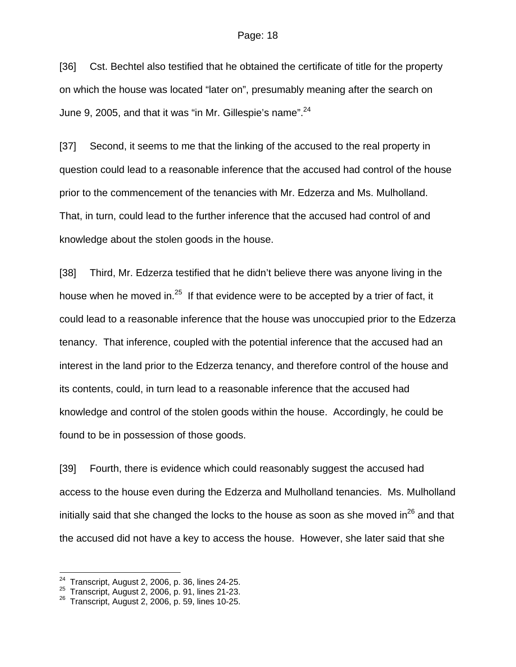[36] Cst. Bechtel also testified that he obtained the certificate of title for the property on which the house was located "later on", presumably meaning after the search on June 9, 2005, and that it was "in Mr. Gillespie's name".<sup>24</sup>

[37] Second, it seems to me that the linking of the accused to the real property in question could lead to a reasonable inference that the accused had control of the house prior to the commencement of the tenancies with Mr. Edzerza and Ms. Mulholland. That, in turn, could lead to the further inference that the accused had control of and knowledge about the stolen goods in the house.

[38] Third, Mr. Edzerza testified that he didn't believe there was anyone living in the house when he moved in. $^{25}$  If that evidence were to be accepted by a trier of fact, it could lead to a reasonable inference that the house was unoccupied prior to the Edzerza tenancy. That inference, coupled with the potential inference that the accused had an interest in the land prior to the Edzerza tenancy, and therefore control of the house and its contents, could, in turn lead to a reasonable inference that the accused had knowledge and control of the stolen goods within the house. Accordingly, he could be found to be in possession of those goods.

[39] Fourth, there is evidence which could reasonably suggest the accused had access to the house even during the Edzerza and Mulholland tenancies. Ms. Mulholland initially said that she changed the locks to the house as soon as she moved in $^{26}$  and that the accused did not have a key to access the house. However, she later said that she

<sup>&</sup>lt;sup>24</sup> Transcript, August 2, 2006, p. 36, lines 24-25.<br><sup>25</sup> Transcript, August 2, 2006, p. 91, lines 21-23.<br><sup>26</sup> Transcript, August 2, 2006, p. 59, lines 10-25.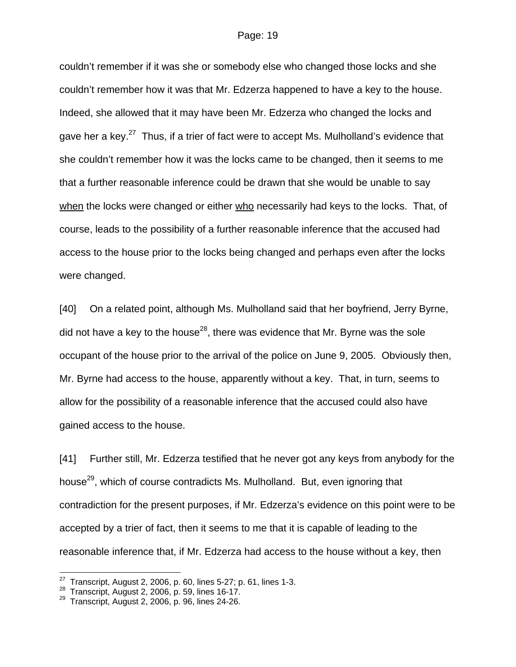couldn't remember if it was she or somebody else who changed those locks and she couldn't remember how it was that Mr. Edzerza happened to have a key to the house. Indeed, she allowed that it may have been Mr. Edzerza who changed the locks and gave her a key.<sup>27</sup> Thus, if a trier of fact were to accept Ms. Mulholland's evidence that she couldn't remember how it was the locks came to be changed, then it seems to me that a further reasonable inference could be drawn that she would be unable to say when the locks were changed or either who necessarily had keys to the locks. That, of course, leads to the possibility of a further reasonable inference that the accused had access to the house prior to the locks being changed and perhaps even after the locks were changed.

[40] On a related point, although Ms. Mulholland said that her boyfriend, Jerry Byrne, did not have a key to the house<sup>28</sup>, there was evidence that Mr. Byrne was the sole occupant of the house prior to the arrival of the police on June 9, 2005. Obviously then, Mr. Byrne had access to the house, apparently without a key. That, in turn, seems to allow for the possibility of a reasonable inference that the accused could also have gained access to the house.

[41] Further still, Mr. Edzerza testified that he never got any keys from anybody for the house<sup>29</sup>, which of course contradicts Ms. Mulholland. But, even ignoring that contradiction for the present purposes, if Mr. Edzerza's evidence on this point were to be accepted by a trier of fact, then it seems to me that it is capable of leading to the reasonable inference that, if Mr. Edzerza had access to the house without a key, then

<sup>&</sup>lt;sup>27</sup> Transcript, August 2, 2006, p. 60, lines 5-27; p. 61, lines 1-3.<br><sup>28</sup> Transcript, August 2, 2006, p. 59, lines 16-17.<br><sup>29</sup> Transcript, August 2, 2006, p. 96, lines 24-26.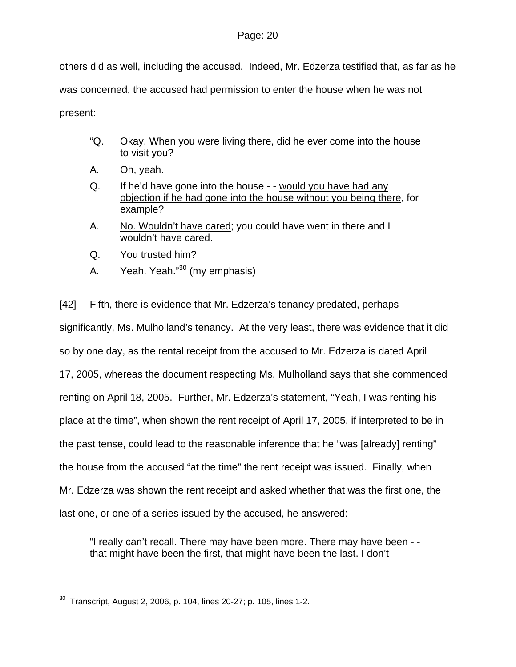others did as well, including the accused. Indeed, Mr. Edzerza testified that, as far as he was concerned, the accused had permission to enter the house when he was not present:

- "Q. Okay. When you were living there, did he ever come into the house to visit you?
- A. Oh, yeah.
- Q. If he'd have gone into the house - would you have had any objection if he had gone into the house without you being there, for example?
- A. No. Wouldn't have cared; you could have went in there and I wouldn't have cared.
- Q. You trusted him?
- A. Yeah. Yeah."<sup>30</sup> (my emphasis)

[42] Fifth, there is evidence that Mr. Edzerza's tenancy predated, perhaps significantly, Ms. Mulholland's tenancy. At the very least, there was evidence that it did so by one day, as the rental receipt from the accused to Mr. Edzerza is dated April 17, 2005, whereas the document respecting Ms. Mulholland says that she commenced renting on April 18, 2005. Further, Mr. Edzerza's statement, "Yeah, I was renting his place at the time", when shown the rent receipt of April 17, 2005, if interpreted to be in the past tense, could lead to the reasonable inference that he "was [already] renting" the house from the accused "at the time" the rent receipt was issued. Finally, when Mr. Edzerza was shown the rent receipt and asked whether that was the first one, the last one, or one of a series issued by the accused, he answered:

"I really can't recall. There may have been more. There may have been - that might have been the first, that might have been the last. I don't

l <sup>30</sup> Transcript, August 2, 2006, p. 104, lines 20-27; p. 105, lines 1-2.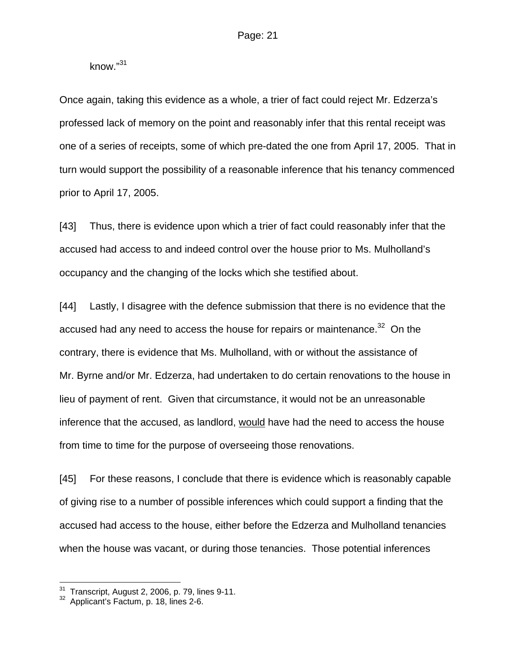know."31

Once again, taking this evidence as a whole, a trier of fact could reject Mr. Edzerza's professed lack of memory on the point and reasonably infer that this rental receipt was one of a series of receipts, some of which pre-dated the one from April 17, 2005. That in turn would support the possibility of a reasonable inference that his tenancy commenced prior to April 17, 2005.

[43] Thus, there is evidence upon which a trier of fact could reasonably infer that the accused had access to and indeed control over the house prior to Ms. Mulholland's occupancy and the changing of the locks which she testified about.

[44] Lastly, I disagree with the defence submission that there is no evidence that the accused had any need to access the house for repairs or maintenance.<sup>32</sup> On the contrary, there is evidence that Ms. Mulholland, with or without the assistance of Mr. Byrne and/or Mr. Edzerza, had undertaken to do certain renovations to the house in lieu of payment of rent. Given that circumstance, it would not be an unreasonable inference that the accused, as landlord, would have had the need to access the house from time to time for the purpose of overseeing those renovations.

[45] For these reasons, I conclude that there is evidence which is reasonably capable of giving rise to a number of possible inferences which could support a finding that the accused had access to the house, either before the Edzerza and Mulholland tenancies when the house was vacant, or during those tenancies. Those potential inferences

 $31$  Transcript, August 2, 2006, p. 79, lines 9-11.<br> $32$  Applicant's Factum, p. 18, lines 2-6.